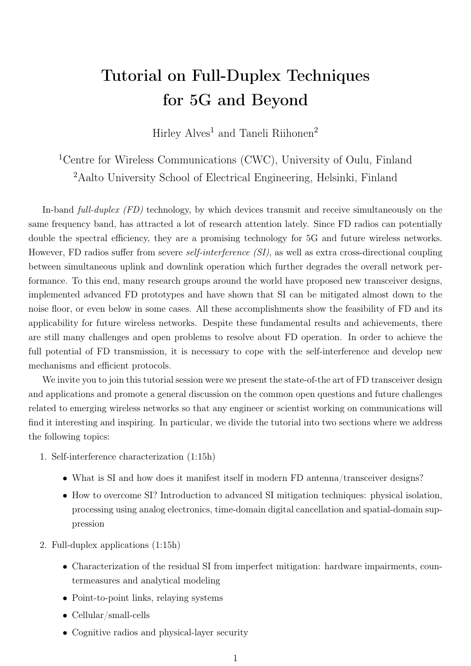## Tutorial on Full-Duplex Techniques for 5G and Beyond

[Hirley Alves](mailto:halves@ee.oulu.fi)<sup>1</sup> and [Taneli Riihonen](mailto:taneli.riihonen@aalto.fi)<sup>2</sup>

<sup>1</sup>[Centre for Wireless Communications \(CWC\), University of Oulu, Finland](http://www.ee.oulu.fi/%7Ehalves/) <sup>2</sup>[Aalto University School of Electrical Engineering, Helsinki, Finland](http://www.iki.fi/taneli.riihonen)

In-band full-duplex (FD) technology, by which devices transmit and receive simultaneously on the same frequency band, has attracted a lot of research attention lately. Since FD radios can potentially double the spectral efficiency, they are a promising technology for 5G and future wireless networks. However, FD radios suffer from severe self-interference (SI), as well as extra cross-directional coupling between simultaneous uplink and downlink operation which further degrades the overall network performance. To this end, many research groups around the world have proposed new transceiver designs, implemented advanced FD prototypes and have shown that SI can be mitigated almost down to the noise floor, or even below in some cases. All these accomplishments show the feasibility of FD and its applicability for future wireless networks. Despite these fundamental results and achievements, there are still many challenges and open problems to resolve about FD operation. In order to achieve the full potential of FD transmission, it is necessary to cope with the self-interference and develop new mechanisms and efficient protocols.

We invite you to join this tutorial session were we present the state-of-the art of FD transceiver design and applications and promote a general discussion on the common open questions and future challenges related to emerging wireless networks so that any engineer or scientist working on communications will find it interesting and inspiring. In particular, we divide the tutorial into two sections where we address the following topics:

- 1. Self-interference characterization (1:15h)
	- What is SI and how does it manifest itself in modern FD antenna/transceiver designs?
	- How to overcome SI? Introduction to advanced SI mitigation techniques: physical isolation, processing using analog electronics, time-domain digital cancellation and spatial-domain suppression
- 2. Full-duplex applications (1:15h)
	- Characterization of the residual SI from imperfect mitigation: hardware impairments, countermeasures and analytical modeling
	- Point-to-point links, relaying systems
	- Cellular/small-cells
	- Cognitive radios and physical-layer security